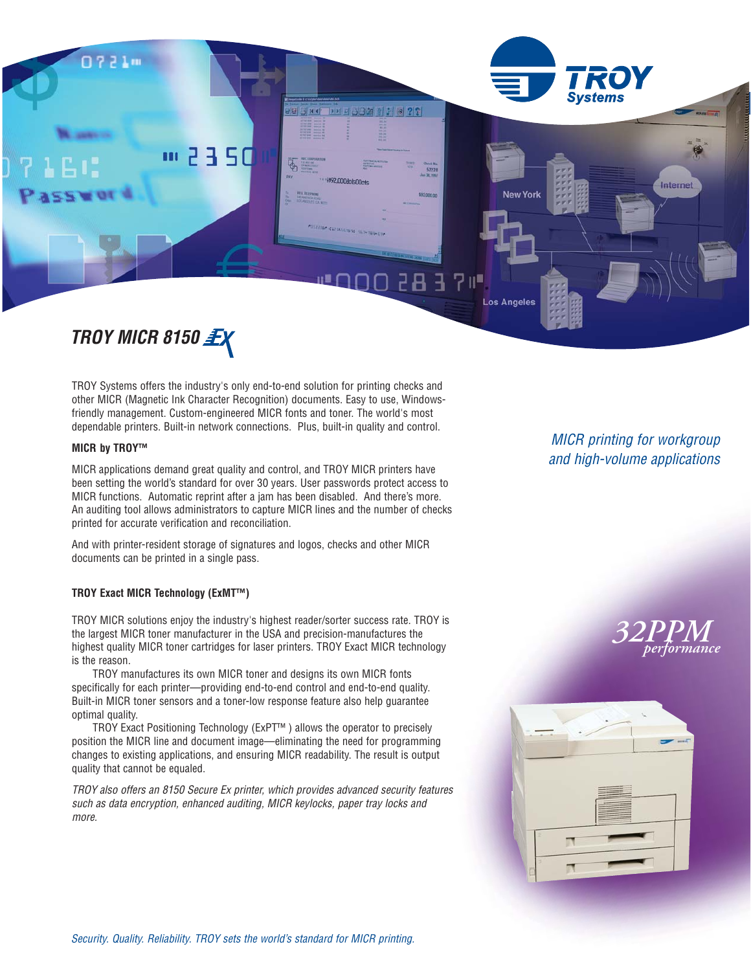

# *TROY MICR 8150*

TROY Systems offers the industry's only end-to-end solution for printing checks and other MICR (Magnetic Ink Character Recognition) documents. Easy to use, Windowsfriendly management. Custom-engineered MICR fonts and toner. The world's most dependable printers. Built-in network connections. Plus, built-in quality and control.

#### **MICR by TROY™**

MICR applications demand great quality and control, and TROY MICR printers have been setting the world's standard for over 30 years. User passwords protect access to MICR functions. Automatic reprint after a jam has been disabled. And there's more. An auditing tool allows administrators to capture MICR lines and the number of checks printed for accurate verification and reconciliation.

And with printer-resident storage of signatures and logos, checks and other MICR documents can be printed in a single pass.

#### **TROY Exact MICR Technology (ExMT™)**

TROY MICR solutions enjoy the industry's highest reader/sorter success rate. TROY is the largest MICR toner manufacturer in the USA and precision-manufactures the highest quality MICR toner cartridges for laser printers. TROY Exact MICR technology is the reason.

TROY manufactures its own MICR toner and designs its own MICR fonts specifically for each printer—providing end-to-end control and end-to-end quality. Built-in MICR toner sensors and a toner-low response feature also help guarantee optimal quality.

TROY Exact Positioning Technology (ExPT™ ) allows the operator to precisely position the MICR line and document image—eliminating the need for programming changes to existing applications, and ensuring MICR readability. The result is output quality that cannot be equaled.

TROY also offers an 8150 Secure Ex printer, which provides advanced security features such as data encryption, enhanced auditing, MICR keylocks, paper tray locks and more.

# MICR printing for workgroup and high-volume applications

*32PPM performance*